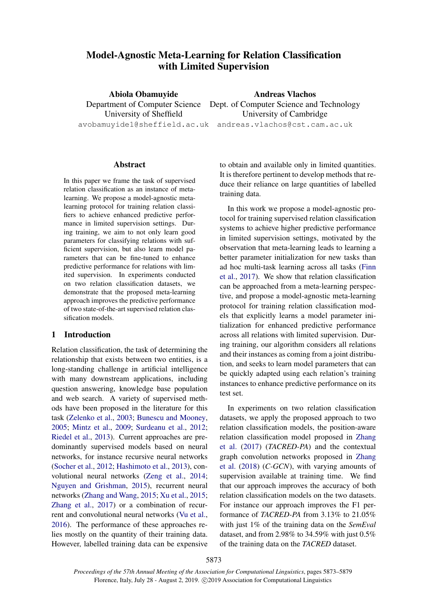# Model-Agnostic Meta-Learning for Relation Classification with Limited Supervision

Abiola Obamuyide Department of Computer Science Dept. of Computer Science and Technology University of Sheffield avobamuyide1@sheffield.ac.uk andreas.vlachos@cst.cam.ac.uk Andreas Vlachos University of Cambridge

#### Abstract

In this paper we frame the task of supervised relation classification as an instance of metalearning. We propose a model-agnostic metalearning protocol for training relation classifiers to achieve enhanced predictive performance in limited supervision settings. During training, we aim to not only learn good parameters for classifying relations with sufficient supervision, but also learn model parameters that can be fine-tuned to enhance predictive performance for relations with limited supervision. In experiments conducted on two relation classification datasets, we demonstrate that the proposed meta-learning approach improves the predictive performance of two state-of-the-art supervised relation classification models.

## 1 Introduction

Relation classification, the task of determining the relationship that exists between two entities, is a long-standing challenge in artificial intelligence with many downstream applications, including question answering, knowledge base population and web search. A variety of supervised methods have been proposed in the literature for this task [\(Zelenko et al.,](#page-6-0) [2003;](#page-6-0) [Bunescu and Mooney,](#page-4-0) [2005;](#page-4-0) [Mintz et al.,](#page-5-0) [2009;](#page-5-0) [Surdeanu et al.,](#page-5-1) [2012;](#page-5-1) [Riedel et al.,](#page-5-2) [2013\)](#page-5-2). Current approaches are predominantly supervised models based on neural networks, for instance recursive neural networks [\(Socher et al.,](#page-5-3) [2012;](#page-5-3) [Hashimoto et al.,](#page-5-4) [2013\)](#page-5-4), convolutional neural networks [\(Zeng et al.,](#page-6-1) [2014;](#page-6-1) [Nguyen and Grishman,](#page-5-5) [2015\)](#page-5-5), recurrent neural networks [\(Zhang and Wang,](#page-6-2) [2015;](#page-6-2) [Xu et al.,](#page-6-3) [2015;](#page-6-3) [Zhang et al.,](#page-6-4) [2017\)](#page-6-4) or a combination of recurrent and convolutional neural networks [\(Vu et al.,](#page-5-6) [2016\)](#page-5-6). The performance of these approaches relies mostly on the quantity of their training data. However, labelled training data can be expensive to obtain and available only in limited quantities. It is therefore pertinent to develop methods that reduce their reliance on large quantities of labelled training data.

In this work we propose a model-agnostic protocol for training supervised relation classification systems to achieve higher predictive performance in limited supervision settings, motivated by the observation that meta-learning leads to learning a better parameter initialization for new tasks than ad hoc multi-task learning across all tasks [\(Finn](#page-4-1) [et al.,](#page-4-1) [2017\)](#page-4-1). We show that relation classification can be approached from a meta-learning perspective, and propose a model-agnostic meta-learning protocol for training relation classification models that explicitly learns a model parameter initialization for enhanced predictive performance across all relations with limited supervision. During training, our algorithm considers all relations and their instances as coming from a joint distribution, and seeks to learn model parameters that can be quickly adapted using each relation's training instances to enhance predictive performance on its test set.

In experiments on two relation classification datasets, we apply the proposed approach to two relation classification models, the position-aware relation classification model proposed in [Zhang](#page-6-4) [et al.](#page-6-4) [\(2017\)](#page-6-4) (*TACRED-PA*) and the contextual graph convolution networks proposed in [Zhang](#page-6-5) [et al.](#page-6-5) [\(2018\)](#page-6-5) (*C-GCN*), with varying amounts of supervision available at training time. We find that our approach improves the accuracy of both relation classification models on the two datasets. For instance our approach improves the F1 performance of *TACRED-PA* from 3.13% to 21.05% with just 1% of the training data on the *SemEval* dataset, and from 2.98% to 34.59% with just 0.5% of the training data on the *TACRED* dataset.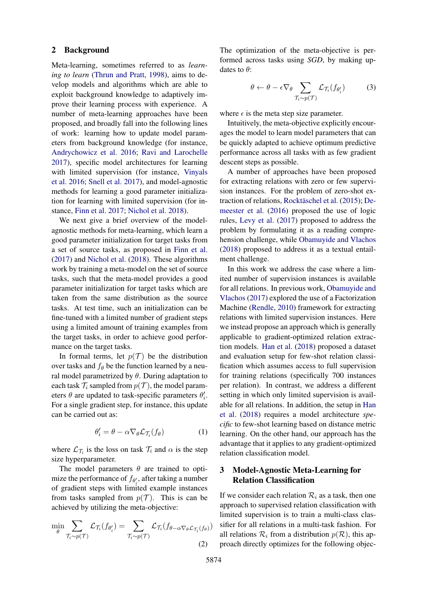#### 2 Background

Meta-learning, sometimes referred to as *learning to learn* [\(Thrun and Pratt,](#page-5-7) [1998\)](#page-5-7), aims to develop models and algorithms which are able to exploit background knowledge to adaptively improve their learning process with experience. A number of meta-learning approaches have been proposed, and broadly fall into the following lines of work: learning how to update model parameters from background knowledge (for instance, [Andrychowicz et al.](#page-4-2) [2016;](#page-4-2) [Ravi and Larochelle](#page-5-8) [2017\)](#page-5-8), specific model architectures for learning with limited supervision (for instance, [Vinyals](#page-5-9) [et al.](#page-5-9) [2016;](#page-5-9) [Snell et al.](#page-5-10) [2017\)](#page-5-10), and model-agnostic methods for learning a good parameter initialization for learning with limited supervision (for instance, [Finn et al.](#page-4-1) [2017;](#page-4-1) [Nichol et al.](#page-5-11) [2018\)](#page-5-11).

We next give a brief overview of the modelagnostic methods for meta-learning, which learn a good parameter initialization for target tasks from a set of source tasks, as proposed in [Finn et al.](#page-4-1) [\(2017\)](#page-4-1) and [Nichol et al.](#page-5-11) [\(2018\)](#page-5-11). These algorithms work by training a meta-model on the set of source tasks, such that the meta-model provides a good parameter initialization for target tasks which are taken from the same distribution as the source tasks. At test time, such an initialization can be fine-tuned with a limited number of gradient steps using a limited amount of training examples from the target tasks, in order to achieve good performance on the target tasks.

In formal terms, let  $p(\mathcal{T})$  be the distribution over tasks and  $f_{\theta}$  be the function learned by a neural model parametrized by  $\theta$ . During adaptation to each task  $\mathcal{T}_i$  sampled from  $p(\mathcal{T})$ , the model parameters  $\theta$  are updated to task-specific parameters  $\theta_i'$ . For a single gradient step, for instance, this update can be carried out as:

$$
\theta_i' = \theta - \alpha \nabla_{\theta} \mathcal{L}_{\mathcal{T}_i}(f_{\theta}) \tag{1}
$$

where  $\mathcal{L}_{\mathcal{T}_i}$  is the loss on task  $\mathcal{T}_i$  and  $\alpha$  is the step size hyperparameter.

The model parameters  $\theta$  are trained to optimize the performance of  $f_{\theta_i}$ , after taking a number of gradient steps with limited example instances from tasks sampled from  $p(\mathcal{T})$ . This is can be achieved by utilizing the meta-objective:

$$
\min_{\theta} \sum_{\mathcal{T}_i \sim p(\mathcal{T})} \mathcal{L}_{\mathcal{T}_i}(f_{\theta'_i}) = \sum_{\mathcal{T}_i \sim p(\mathcal{T})} \mathcal{L}_{\mathcal{T}_i}(f_{\theta - \alpha \nabla_{\theta} \mathcal{L}_{\mathcal{T}_i}(f_{\theta})})
$$
\n(2)

The optimization of the meta-objective is performed across tasks using *SGD*, by making updates to  $\theta$ :

$$
\theta \leftarrow \theta - \epsilon \nabla_{\theta} \sum_{\mathcal{T}_i \sim p(\mathcal{T})} \mathcal{L}_{\mathcal{T}_i}(f_{\theta_i'}) \tag{3}
$$

where  $\epsilon$  is the meta step size parameter.

Intuitively, the meta-objective explicitly encourages the model to learn model parameters that can be quickly adapted to achieve optimum predictive performance across all tasks with as few gradient descent steps as possible.

A number of approaches have been proposed for extracting relations with zero or few supervision instances. For the problem of zero-shot ex-traction of relations, Rocktäschel et al. [\(2015\)](#page-5-12); [De](#page-4-3)[meester et al.](#page-4-3) [\(2016\)](#page-4-3) proposed the use of logic rules, [Levy et al.](#page-5-13) [\(2017\)](#page-5-13) proposed to address the problem by formulating it as a reading comprehension challenge, while [Obamuyide and Vlachos](#page-5-14) [\(2018\)](#page-5-14) proposed to address it as a textual entailment challenge.

In this work we address the case where a limited number of supervision instances is available for all relations. In previous work, [Obamuyide and](#page-5-15) [Vlachos](#page-5-15) [\(2017\)](#page-5-15) explored the use of a Factorization Machine [\(Rendle,](#page-5-16) [2010\)](#page-5-16) framework for extracting relations with limited supervision instances. Here we instead propose an approach which is generally applicable to gradient-optimized relation extraction models. [Han et al.](#page-5-17) [\(2018\)](#page-5-17) proposed a dataset and evaluation setup for few-shot relation classification which assumes access to full supervision for training relations (specifically 700 instances per relation). In contrast, we address a different setting in which only limited supervision is available for all relations. In addition, the setup in [Han](#page-5-17) [et al.](#page-5-17) [\(2018\)](#page-5-17) requires a model architecture *specific* to few-shot learning based on distance metric learning. On the other hand, our approach has the advantage that it applies to any gradient-optimized relation classification model.

# 3 Model-Agnostic Meta-Learning for Relation Classification

<span id="page-1-0"></span>If we consider each relation  $\mathcal{R}_i$  as a task, then one approach to supervised relation classification with limited supervision is to train a multi-class classifier for all relations in a multi-task fashion. For all relations  $\mathcal{R}_i$  from a distribution  $p(\mathcal{R})$ , this approach directly optimizes for the following objec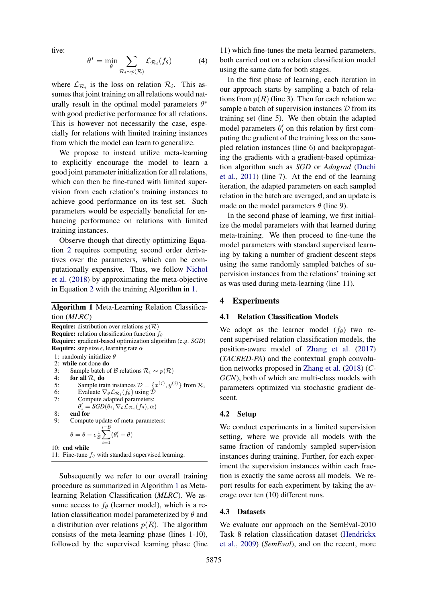tive:

$$
\theta^* = \min_{\theta} \sum_{\mathcal{R}_i \sim p(\mathcal{R})} \mathcal{L}_{\mathcal{R}_i}(f_{\theta}) \tag{4}
$$

where  $\mathcal{L}_{\mathcal{R}_i}$  is the loss on relation  $\mathcal{R}_i$ . This assumes that joint training on all relations would naturally result in the optimal model parameters  $\theta^*$ with good predictive performance for all relations. This is however not necessarily the case, especially for relations with limited training instances from which the model can learn to generalize.

We propose to instead utilize meta-learning to explicitly encourage the model to learn a good joint parameter initialization for all relations, which can then be fine-tuned with limited supervision from each relation's training instances to achieve good performance on its test set. Such parameters would be especially beneficial for enhancing performance on relations with limited training instances.

Observe though that directly optimizing Equation [2](#page-1-0) requires computing second order derivatives over the parameters, which can be computationally expensive. Thus, we follow [Nichol](#page-5-11) [et al.](#page-5-11) [\(2018\)](#page-5-11) by approximating the meta-objective in Equation [2](#page-1-0) with the training Algorithm in [1.](#page-2-0)

## <span id="page-2-0"></span>Algorithm 1 Meta-Learning Relation Classification (*MLRC*)

| <b>Require:</b> distribution over relations $p(\mathcal{R})$<br><b>Require:</b> relation classification function $f_{\theta}$ |  |  |  |  |
|-------------------------------------------------------------------------------------------------------------------------------|--|--|--|--|
| <b>Require:</b> gradient-based optimization algorithm (e.g. <i>SGD</i> )                                                      |  |  |  |  |
| <b>Require:</b> step size $\epsilon$ , learning rate $\alpha$                                                                 |  |  |  |  |
| 1: randomly initialize $\theta$                                                                                               |  |  |  |  |
| 2: while not done $d\mathbf{o}$                                                                                               |  |  |  |  |
| Sample batch of B relations $\mathcal{R}_i \sim p(\mathcal{R})$<br>3:                                                         |  |  |  |  |
| 4:<br>for all $\mathcal{R}_i$ do                                                                                              |  |  |  |  |
| Sample train instances $\mathcal{D} = \{x^{(j)}, y^{(j)}\}$ from $\mathcal{R}_i$<br>5:                                        |  |  |  |  |
| 6:<br>Evaluate $\nabla_{\theta} \mathcal{L}_{\mathcal{R}_{i}}(f_{\theta})$ using $\mathcal{D}$                                |  |  |  |  |
| 7:<br>Compute adapted parameters:                                                                                             |  |  |  |  |
| $\theta_i' = SGD(\theta_i, \nabla_{\theta} \mathcal{L}_{\mathcal{R},i}(f_{\theta}), \alpha)$                                  |  |  |  |  |
| end for<br>8:                                                                                                                 |  |  |  |  |
| 9:<br>Compute update of meta-parameters:                                                                                      |  |  |  |  |
| $i = \mathcal{B}$<br>$\theta = \theta - \epsilon \frac{1}{\mathcal{B}} \sum (\theta'_i - \theta)$<br>$i=1$                    |  |  |  |  |
| $10:$ end while                                                                                                               |  |  |  |  |
| 11: Fine-tune $f_{\theta}$ with standard supervised learning.                                                                 |  |  |  |  |

Subsequently we refer to our overall training procedure as summarized in Algorithm [1](#page-2-0) as Metalearning Relation Classification (*MLRC*). We assume access to  $f_{\theta}$  (learner model), which is a relation classification model parameterized by  $\theta$  and a distribution over relations  $p(R)$ . The algorithm consists of the meta-learning phase (lines 1-10), followed by the supervised learning phase (line

11) which fine-tunes the meta-learned parameters, both carried out on a relation classification model using the same data for both stages.

In the first phase of learning, each iteration in our approach starts by sampling a batch of relations from  $p(R)$  (line 3). Then for each relation we sample a batch of supervision instances  $D$  from its training set (line 5). We then obtain the adapted model parameters  $\theta_i'$  on this relation by first computing the gradient of the training loss on the sampled relation instances (line 6) and backpropagating the gradients with a gradient-based optimization algorithm such as *SGD* or *Adagrad* [\(Duchi](#page-4-4) [et al.,](#page-4-4) [2011\)](#page-4-4) (line 7). At the end of the learning iteration, the adapted parameters on each sampled relation in the batch are averaged, and an update is made on the model parameters  $\theta$  (line 9).

In the second phase of learning, we first initialize the model parameters with that learned during meta-training. We then proceed to fine-tune the model parameters with standard supervised learning by taking a number of gradient descent steps using the same randomly sampled batches of supervision instances from the relations' training set as was used during meta-learning (line 11).

## 4 Experiments

### 4.1 Relation Classification Models

We adopt as the learner model  $(f_\theta)$  two recent supervised relation classification models, the position-aware model of [Zhang et al.](#page-6-4) [\(2017\)](#page-6-4) (*TACRED-PA*) and the contextual graph convolution networks proposed in [Zhang et al.](#page-6-5) [\(2018\)](#page-6-5) (*C-GCN*), both of which are multi-class models with parameters optimized via stochastic gradient descent.

## 4.2 Setup

We conduct experiments in a limited supervision setting, where we provide all models with the same fraction of randomly sampled supervision instances during training. Further, for each experiment the supervision instances within each fraction is exactly the same across all models. We report results for each experiment by taking the average over ten (10) different runs.

#### 4.3 Datasets

We evaluate our approach on the SemEval-2010 Task 8 relation classification dataset [\(Hendrickx](#page-5-18) [et al.,](#page-5-18) [2009\)](#page-5-18) (*SemEval*), and on the recent, more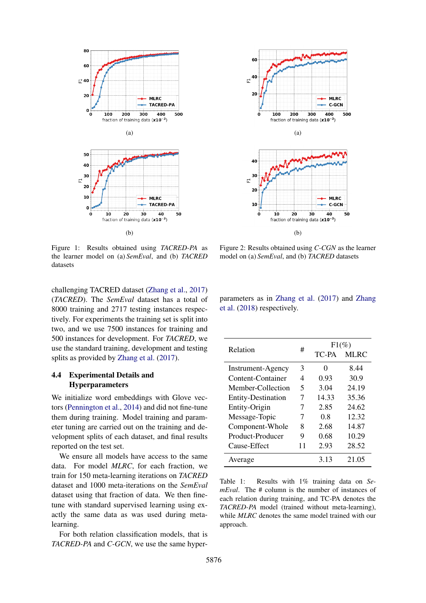

Figure 1: Results obtained using *TACRED-PA* as the learner model on (a) *SemEval*, and (b) *TACRED* datasets

challenging TACRED dataset [\(Zhang et al.,](#page-6-4) [2017\)](#page-6-4) (*TACRED*). The *SemEval* dataset has a total of 8000 training and 2717 testing instances respectively. For experiments the training set is split into two, and we use 7500 instances for training and 500 instances for development. For *TACRED*, we use the standard training, development and testing splits as provided by [Zhang et al.](#page-6-4) [\(2017\)](#page-6-4).

## 4.4 Experimental Details and Hyperparameters

We initialize word embeddings with Glove vectors [\(Pennington et al.,](#page-5-19) [2014\)](#page-5-19) and did not fine-tune them during training. Model training and parameter tuning are carried out on the training and development splits of each dataset, and final results reported on the test set.

We ensure all models have access to the same data. For model *MLRC*, for each fraction, we train for 150 meta-learning iterations on *TACRED* dataset and 1000 meta-iterations on the *SemEval* dataset using that fraction of data. We then finetune with standard supervised learning using exactly the same data as was used during metalearning.

For both relation classification models, that is *TACRED-PA* and *C-GCN*, we use the same hyper-



Figure 2: Results obtained using *C-CGN* as the learner model on (a) *SemEval*, and (b) *TACRED* datasets

parameters as in [Zhang et al.](#page-6-4) [\(2017\)](#page-6-4) and [Zhang](#page-6-5) [et al.](#page-6-5) [\(2018\)](#page-6-5) respectively.

<span id="page-3-0"></span>

| Relation                  | #  | $F1(\%)$ |             |
|---------------------------|----|----------|-------------|
|                           |    | TC-PA    | <b>MLRC</b> |
| <b>Instrument-Agency</b>  | 3  | 0        | 8.44        |
| Content-Container         | 4  | 0.93     | 30.9        |
| Member-Collection         | 5  | 3.04     | 24.19       |
| <b>Entity-Destination</b> | 7  | 14.33    | 35.36       |
| Entity-Origin             | 7  | 2.85     | 24.62       |
| Message-Topic             | 7  | 0.8      | 12.32       |
| Component-Whole           | 8  | 2.68     | 14.87       |
| Product-Producer          | 9  | 0.68     | 10.29       |
| Cause-Effect              | 11 | 2.93     | 28.52       |
| Average                   |    | 3.13     | 21.05       |

Table 1: Results with 1% training data on *SemEval*. The # column is the number of instances of each relation during training, and TC-PA denotes the *TACRED-PA* model (trained without meta-learning), while *MLRC* denotes the same model trained with our approach.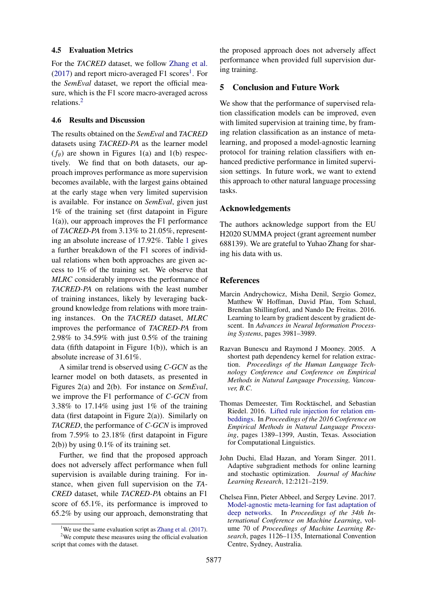#### 4.5 Evaluation Metrics

For the *TACRED* dataset, we follow [Zhang et al.](#page-6-4)  $(2017)$  and report micro-averaged F[1](#page-4-5) scores<sup>1</sup>. For the *SemEval* dataset, we report the official measure, which is the F1 score macro-averaged across relations.[2](#page-4-6)

## 4.6 Results and Discussion

The results obtained on the *SemEval* and *TACRED* datasets using *TACRED-PA* as the learner model  $(f_{\theta})$  are shown in Figures 1(a) and 1(b) respectively. We find that on both datasets, our approach improves performance as more supervision becomes available, with the largest gains obtained at the early stage when very limited supervision is available. For instance on *SemEval*, given just 1% of the training set (first datapoint in Figure 1(a)), our approach improves the F1 performance of *TACRED-PA* from 3.13% to 21.05%, representing an absolute increase of 17.92%. Table [1](#page-3-0) gives a further breakdown of the F1 scores of individual relations when both approaches are given access to 1% of the training set. We observe that *MLRC* considerably improves the performance of *TACRED-PA* on relations with the least number of training instances, likely by leveraging background knowledge from relations with more training instances. On the *TACRED* dataset, *MLRC* improves the performance of *TACRED-PA* from 2.98% to 34.59% with just 0.5% of the training data (fifth datapoint in Figure 1(b)), which is an absolute increase of 31.61%.

A similar trend is observed using *C-GCN* as the learner model on both datasets, as presented in Figures 2(a) and 2(b). For instance on *SemEval*, we improve the F1 performance of *C-GCN* from 3.38% to 17.14% using just 1% of the training data (first datapoint in Figure  $2(a)$ ). Similarly on *TACRED*, the performance of *C-GCN* is improved from 7.59% to 23.18% (first datapoint in Figure 2(b)) by using 0.1% of its training set.

Further, we find that the proposed approach does not adversely affect performance when full supervision is available during training. For instance, when given full supervision on the *TA-CRED* dataset, while *TACRED-PA* obtains an F1 score of 65.1%, its performance is improved to 65.2% by using our approach, demonstrating that the proposed approach does not adversely affect performance when provided full supervision during training.

# 5 Conclusion and Future Work

We show that the performance of supervised relation classification models can be improved, even with limited supervision at training time, by framing relation classification as an instance of metalearning, and proposed a model-agnostic learning protocol for training relation classifiers with enhanced predictive performance in limited supervision settings. In future work, we want to extend this approach to other natural language processing tasks.

## Acknowledgements

The authors acknowledge support from the EU H2020 SUMMA project (grant agreement number 688139). We are grateful to Yuhao Zhang for sharing his data with us.

## References

- <span id="page-4-2"></span>Marcin Andrychowicz, Misha Denil, Sergio Gomez, Matthew W Hoffman, David Pfau, Tom Schaul, Brendan Shillingford, and Nando De Freitas. 2016. Learning to learn by gradient descent by gradient descent. In *Advances in Neural Information Processing Systems*, pages 3981–3989.
- <span id="page-4-0"></span>Razvan Bunescu and Raymond J Mooney. 2005. A shortest path dependency kernel for relation extraction. *Proceedings of the Human Language Technology Conference and Conference on Empirical Methods in Natural Language Processing, Vancouver, B.C*.
- <span id="page-4-3"></span>Thomas Demeester, Tim Rocktäschel, and Sebastian Riedel. 2016. [Lifted rule injection for relation em](https://doi.org/10.18653/v1/D16-1146)[beddings.](https://doi.org/10.18653/v1/D16-1146) In *Proceedings of the 2016 Conference on Empirical Methods in Natural Language Processing*, pages 1389–1399, Austin, Texas. Association for Computational Linguistics.
- <span id="page-4-4"></span>John Duchi, Elad Hazan, and Yoram Singer. 2011. Adaptive subgradient methods for online learning and stochastic optimization. *Journal of Machine Learning Research*, 12:2121–2159.
- <span id="page-4-1"></span>Chelsea Finn, Pieter Abbeel, and Sergey Levine. 2017. [Model-agnostic meta-learning for fast adaptation of](http://proceedings.mlr.press/v70/finn17a.html) [deep networks.](http://proceedings.mlr.press/v70/finn17a.html) In *Proceedings of the 34th International Conference on Machine Learning*, volume 70 of *Proceedings of Machine Learning Research*, pages 1126–1135, International Convention Centre, Sydney, Australia.

<span id="page-4-6"></span><span id="page-4-5"></span><sup>&</sup>lt;sup>1</sup>We use the same evaluation script as [Zhang et al.](#page-6-4)  $(2017)$ .

<sup>2</sup>We compute these measures using the official evaluation script that comes with the dataset.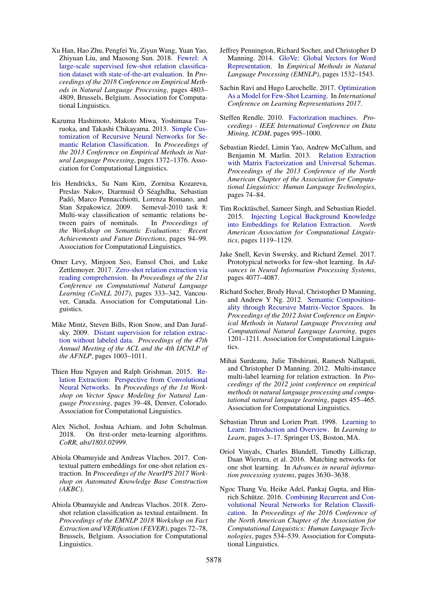- <span id="page-5-17"></span>Xu Han, Hao Zhu, Pengfei Yu, Ziyun Wang, Yuan Yao, Zhiyuan Liu, and Maosong Sun. 2018. [Fewrel: A](http://www.aclweb.org/anthology/D18-1514) [large-scale supervised few-shot relation classifica](http://www.aclweb.org/anthology/D18-1514)[tion dataset with state-of-the-art evaluation.](http://www.aclweb.org/anthology/D18-1514) In *Proceedings of the 2018 Conference on Empirical Methods in Natural Language Processing*, pages 4803– 4809, Brussels, Belgium. Association for Computational Linguistics.
- <span id="page-5-4"></span>Kazuma Hashimoto, Makoto Miwa, Yoshimasa Tsuruoka, and Takashi Chikayama. 2013. [Simple Cus](http://aclweb.org/anthology/D13-1137)[tomization of Recursive Neural Networks for Se](http://aclweb.org/anthology/D13-1137)[mantic Relation Classification.](http://aclweb.org/anthology/D13-1137) In *Proceedings of the 2013 Conference on Empirical Methods in Natural Language Processing*, pages 1372–1376. Association for Computational Linguistics.
- <span id="page-5-18"></span>Iris Hendrickx, Su Nam Kim, Zornitsa Kozareva, Preslav Nakov, Diarmuid Ó Séaghdha, Sebastian Padó, Marco Pennacchiotti, Lorenza Romano, and<br>Stan Szpakowicz. 2009. Semeval-2010 task 8: Stan Szpakowicz. 2009. Multi-way classification of semantic relations between pairs of nominals. In *Proceedings of the Workshop on Semantic Evaluations: Recent Achievements and Future Directions*, pages 94–99. Association for Computational Linguistics.
- <span id="page-5-13"></span>Omer Levy, Minjoon Seo, Eunsol Choi, and Luke Zettlemoyer. 2017. [Zero-shot relation extraction via](https://doi.org/10.18653/v1/K17-1034) [reading comprehension.](https://doi.org/10.18653/v1/K17-1034) In *Proceedings of the 21st Conference on Computational Natural Language Learning (CoNLL 2017)*, pages 333–342, Vancouver, Canada. Association for Computational Linguistics.
- <span id="page-5-0"></span>Mike Mintz, Steven Bills, Rion Snow, and Dan Jurafsky. 2009. [Distant supervision for relation extrac](https://doi.org/10.3115/1690219.1690287)[tion without labeled data.](https://doi.org/10.3115/1690219.1690287) *Proceedings of the 47th Annual Meeting of the ACL and the 4th IJCNLP of the AFNLP*, pages 1003–1011.
- <span id="page-5-5"></span>Thien Huu Nguyen and Ralph Grishman. 2015. [Re](http://www.aclweb.org/anthology/W15-1506)[lation Extraction: Perspective from Convolutional](http://www.aclweb.org/anthology/W15-1506) [Neural Networks.](http://www.aclweb.org/anthology/W15-1506) In *Proceedings of the 1st Workshop on Vector Space Modeling for Natural Language Processing*, pages 39–48, Denver, Colorado. Association for Computational Linguistics.
- <span id="page-5-11"></span>Alex Nichol, Joshua Achiam, and John Schulman.<br>2018. On first-order meta-learning algorithms. 2018. On first-order meta-learning algorithms. *CoRR, abs/1803.02999*.
- <span id="page-5-15"></span>Abiola Obamuyide and Andreas Vlachos. 2017. Contextual pattern embeddings for one-shot relation extraction. In *Proceedings of the NeurIPS 2017 Workshop on Automated Knowledge Base Construction (AKBC)*.
- <span id="page-5-14"></span>Abiola Obamuyide and Andreas Vlachos. 2018. Zeroshot relation classification as textual entailment. In *Proceedings of the EMNLP 2018 Workshop on Fact Extraction and VERification (FEVER)*, pages 72–78, Brussels, Belgium. Association for Computational Linguistics.
- <span id="page-5-19"></span>Jeffrey Pennington, Richard Socher, and Christopher D Manning. 2014. [GloVe: Global Vectors for Word](http://www.aclweb.org/anthology/D14-1162) [Representation.](http://www.aclweb.org/anthology/D14-1162) In *Empirical Methods in Natural Language Processing (EMNLP)*, pages 1532–1543.
- <span id="page-5-8"></span>Sachin Ravi and Hugo Larochelle. 2017. [Optimization](https://doi.org/10.1016/j.electacta.2007.11.046) [As a Model for Few-Shot Learning.](https://doi.org/10.1016/j.electacta.2007.11.046) In *International Conference on Learning Representations 2017*.
- <span id="page-5-16"></span>Steffen Rendle. 2010. [Factorization machines.](https://doi.org/10.1109/ICDM.2010.127) *Proceedings - IEEE International Conference on Data Mining, ICDM*, pages 995–1000.
- <span id="page-5-2"></span>Sebastian Riedel, Limin Yao, Andrew McCallum, and Benjamin M. Marlin. 2013. [Relation Extraction](http://www.aclweb.org/anthology/N13-1008) [with Matrix Factorization and Universal Schemas.](http://www.aclweb.org/anthology/N13-1008) *Proceedings of the 2013 Conference of the North American Chapter of the Association for Computational Linguistics: Human Language Technologies*, pages 74–84.
- <span id="page-5-12"></span>Tim Rocktäschel, Sameer Singh, and Sebastian Riedel. 2015. [Injecting Logical Background Knowledge](https://doi.org/10.3115/v1/N15-1118) [into Embeddings for Relation Extraction.](https://doi.org/10.3115/v1/N15-1118) *North American Association for Computational Linguistics*, pages 1119–1129.
- <span id="page-5-10"></span>Jake Snell, Kevin Swersky, and Richard Zemel. 2017. Prototypical networks for few-shot learning. In *Advances in Neural Information Processing Systems*, pages 4077–4087.
- <span id="page-5-3"></span>Richard Socher, Brody Huval, Christopher D Manning, and Andrew Y Ng. 2012. [Semantic Composition](http://aclweb.org/anthology/D12-1110)[ality through Recursive Matrix-Vector Spaces.](http://aclweb.org/anthology/D12-1110) In *Proceedings of the 2012 Joint Conference on Empirical Methods in Natural Language Processing and Computational Natural Language Learning*, pages 1201–1211. Association for Computational Linguistics.
- <span id="page-5-1"></span>Mihai Surdeanu, Julie Tibshirani, Ramesh Nallapati, and Christopher D Manning. 2012. Multi-instance multi-label learning for relation extraction. In *Proceedings of the 2012 joint conference on empirical methods in natural language processing and computational natural language learning*, pages 455–465. Association for Computational Linguistics.
- <span id="page-5-7"></span>Sebastian Thrun and Lorien Pratt. 1998. [Learning to](https://doi.org/10.1007/978-1-4615-5529-2_1) [Learn: Introduction and Overview.](https://doi.org/10.1007/978-1-4615-5529-2_1) In *Learning to Learn*, pages 3–17. Springer US, Boston, MA.
- <span id="page-5-9"></span>Oriol Vinyals, Charles Blundell, Timothy Lillicrap, Daan Wierstra, et al. 2016. Matching networks for one shot learning. In *Advances in neural information processing systems*, pages 3630–3638.
- <span id="page-5-6"></span>Ngoc Thang Vu, Heike Adel, Pankaj Gupta, and Hin-rich Schütze. 2016. [Combining Recurrent and Con](https://doi.org/10.18653/v1/N16-1065)[volutional Neural Networks for Relation Classifi](https://doi.org/10.18653/v1/N16-1065)[cation.](https://doi.org/10.18653/v1/N16-1065) In *Proceedings of the 2016 Conference of the North American Chapter of the Association for Computational Linguistics: Human Language Technologies*, pages 534–539. Association for Computational Linguistics.